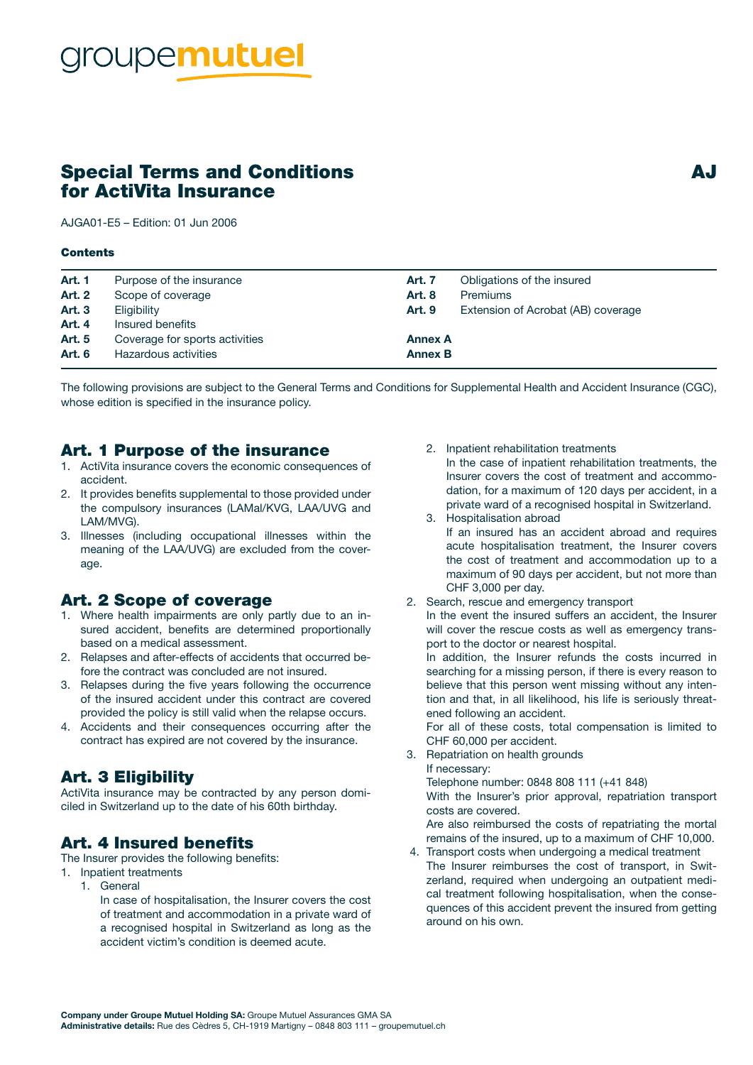# oupemutuel

# Special Terms and Conditions and AJ for ActiVita Insurance

AJGA01-E5 – Edition: 01 Jun 2006

#### Contents

| <b>Art. 1</b> | Purpose of the insurance       | Art. 7         | Obligations of the insured         |
|---------------|--------------------------------|----------------|------------------------------------|
| <b>Art. 2</b> | Scope of coverage              | <b>Art. 8</b>  | <b>Premiums</b>                    |
| <b>Art. 3</b> | Eligibility                    | <b>Art. 9</b>  | Extension of Acrobat (AB) coverage |
| <b>Art. 4</b> | Insured benefits               |                |                                    |
| <b>Art. 5</b> | Coverage for sports activities | <b>Annex A</b> |                                    |
| <b>Art. 6</b> | Hazardous activities           | <b>Annex B</b> |                                    |
|               |                                |                |                                    |

The following provisions are subject to the General Terms and Conditions for Supplemental Health and Accident Insurance (CGC), whose edition is specified in the insurance policy.

#### Art. 1 Purpose of the insurance

- 1. ActiVita insurance covers the economic consequences of accident.
- 2. It provides benefits supplemental to those provided under the compulsory insurances (LAMal/KVG, LAA/UVG and LAM/MVG).
- 3. Illnesses (including occupational illnesses within the meaning of the LAA/UVG) are excluded from the coverage.

#### Art. 2 Scope of coverage

- 1. Where health impairments are only partly due to an insured accident, benefits are determined proportionally based on a medical assessment.
- 2. Relapses and after-effects of accidents that occurred before the contract was concluded are not insured.
- 3. Relapses during the five years following the occurrence of the insured accident under this contract are covered provided the policy is still valid when the relapse occurs.
- 4. Accidents and their consequences occurring after the contract has expired are not covered by the insurance.

## Art. 3 Eligibility

ActiVita insurance may be contracted by any person domiciled in Switzerland up to the date of his 60th birthday.

## Art. 4 Insured benefits

The Insurer provides the following benefits:

- 1. Inpatient treatments
	- 1. General
		- In case of hospitalisation, the Insurer covers the cost of treatment and accommodation in a private ward of a recognised hospital in Switzerland as long as the accident victim's condition is deemed acute.
- 2. Inpatient rehabilitation treatments In the case of inpatient rehabilitation treatments, the Insurer covers the cost of treatment and accommo-
- dation, for a maximum of 120 days per accident, in a private ward of a recognised hospital in Switzerland. 3. Hospitalisation abroad
- If an insured has an accident abroad and requires acute hospitalisation treatment, the Insurer covers the cost of treatment and accommodation up to a maximum of 90 days per accident, but not more than CHF 3,000 per day.
- 2. Search, rescue and emergency transport In the event the insured suffers an accident, the Insurer will cover the rescue costs as well as emergency transport to the doctor or nearest hospital.

In addition, the Insurer refunds the costs incurred in searching for a missing person, if there is every reason to believe that this person went missing without any intention and that, in all likelihood, his life is seriously threatened following an accident.

For all of these costs, total compensation is limited to CHF 60,000 per accident.

- 3. Repatriation on health grounds If necessary:
	- Telephone number: 0848 808 111 (+41 848)

With the Insurer's prior approval, repatriation transport costs are covered.

Are also reimbursed the costs of repatriating the mortal remains of the insured, up to a maximum of CHF 10,000.

 4. Transport costs when undergoing a medical treatment The Insurer reimburses the cost of transport, in Switzerland, required when undergoing an outpatient medical treatment following hospitalisation, when the consequences of this accident prevent the insured from getting around on his own.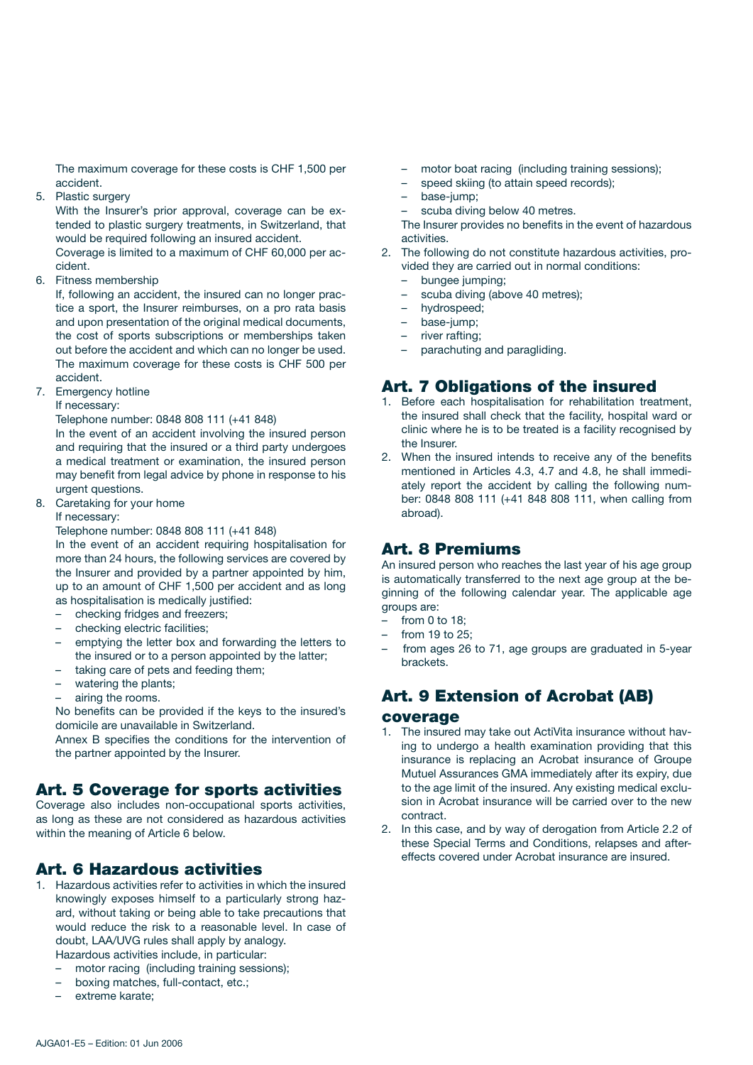The maximum coverage for these costs is CHF 1,500 per accident.

5. Plastic surgery

With the Insurer's prior approval, coverage can be extended to plastic surgery treatments, in Switzerland, that would be required following an insured accident. Coverage is limited to a maximum of CHF 60,000 per ac-

cident.

6. Fitness membership

If, following an accident, the insured can no longer practice a sport, the Insurer reimburses, on a pro rata basis and upon presentation of the original medical documents, the cost of sports subscriptions or memberships taken out before the accident and which can no longer be used. The maximum coverage for these costs is CHF 500 per accident.

7. Emergency hotline

If necessary:

Telephone number: 0848 808 111 (+41 848)

In the event of an accident involving the insured person and requiring that the insured or a third party undergoes a medical treatment or examination, the insured person may benefit from legal advice by phone in response to his urgent questions.

8. Caretaking for your home

#### If necessary:

Telephone number: 0848 808 111 (+41 848)

In the event of an accident requiring hospitalisation for more than 24 hours, the following services are covered by the Insurer and provided by a partner appointed by him, up to an amount of CHF 1,500 per accident and as long as hospitalisation is medically justified:

- checking fridges and freezers;
- checking electric facilities;
- emptying the letter box and forwarding the letters to the insured or to a person appointed by the latter;
- taking care of pets and feeding them;
- watering the plants;
- airing the rooms.

No benefits can be provided if the keys to the insured's domicile are unavailable in Switzerland.

Annex B specifies the conditions for the intervention of the partner appointed by the Insurer.

## Art. 5 Coverage for sports activities

Coverage also includes non-occupational sports activities, as long as these are not considered as hazardous activities within the meaning of Article 6 below.

## Art. 6 Hazardous activities

- 1. Hazardous activities refer to activities in which the insured knowingly exposes himself to a particularly strong hazard, without taking or being able to take precautions that would reduce the risk to a reasonable level. In case of doubt, LAA/UVG rules shall apply by analogy. Hazardous activities include, in particular:
	- motor racing (including training sessions);
	- boxing matches, full-contact, etc.;
	- extreme karate;
- motor boat racing (including training sessions);
- speed skiing (to attain speed records);
- base-jump;
- scuba diving below 40 metres.

The Insurer provides no benefits in the event of hazardous activities.

- 2. The following do not constitute hazardous activities, provided they are carried out in normal conditions:
	- bungee jumping;
	- scuba diving (above 40 metres);
	- hydrospeed;
	- base-jump;
	- river rafting;
	- parachuting and paragliding.

## Art. 7 Obligations of the insured

- 1. Before each hospitalisation for rehabilitation treatment, the insured shall check that the facility, hospital ward or clinic where he is to be treated is a facility recognised by the Insurer.
- 2. When the insured intends to receive any of the benefits mentioned in Articles 4.3, 4.7 and 4.8, he shall immediately report the accident by calling the following number: 0848 808 111 (+41 848 808 111, when calling from abroad).

## Art. 8 Premiums

An insured person who reaches the last year of his age group is automatically transferred to the next age group at the beginning of the following calendar year. The applicable age groups are:

- from  $0$  to  $18$ :
- from 19 to 25;
- from ages 26 to 71, age groups are graduated in 5-year brackets.

## Art. 9 Extension of Acrobat (AB) coverage

- 1. The insured may take out ActiVita insurance without having to undergo a health examination providing that this insurance is replacing an Acrobat insurance of Groupe Mutuel Assurances GMA immediately after its expiry, due to the age limit of the insured. Any existing medical exclusion in Acrobat insurance will be carried over to the new contract.
- 2. In this case, and by way of derogation from Article 2.2 of these Special Terms and Conditions, relapses and aftereffects covered under Acrobat insurance are insured.